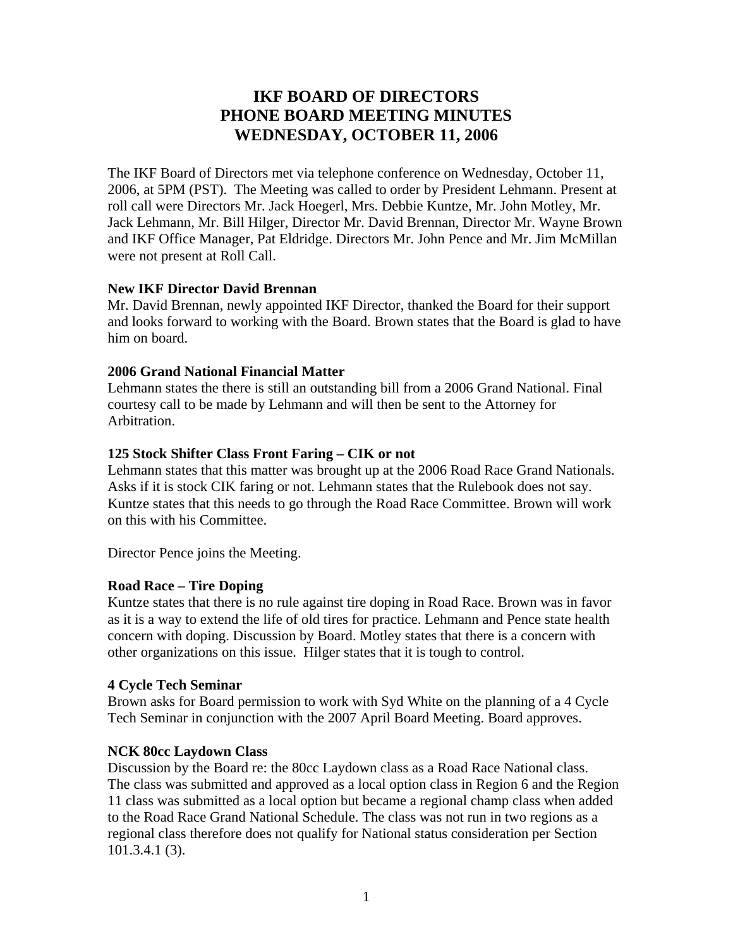# **IKF BOARD OF DIRECTORS PHONE BOARD MEETING MINUTES WEDNESDAY, OCTOBER 11, 2006**

The IKF Board of Directors met via telephone conference on Wednesday, October 11, 2006, at 5PM (PST). The Meeting was called to order by President Lehmann. Present at roll call were Directors Mr. Jack Hoegerl, Mrs. Debbie Kuntze, Mr. John Motley, Mr. Jack Lehmann, Mr. Bill Hilger, Director Mr. David Brennan, Director Mr. Wayne Brown and IKF Office Manager, Pat Eldridge. Directors Mr. John Pence and Mr. Jim McMillan were not present at Roll Call.

# **New IKF Director David Brennan**

Mr. David Brennan, newly appointed IKF Director, thanked the Board for their support and looks forward to working with the Board. Brown states that the Board is glad to have him on board.

# **2006 Grand National Financial Matter**

Lehmann states the there is still an outstanding bill from a 2006 Grand National. Final courtesy call to be made by Lehmann and will then be sent to the Attorney for Arbitration.

# **125 Stock Shifter Class Front Faring – CIK or not**

Lehmann states that this matter was brought up at the 2006 Road Race Grand Nationals. Asks if it is stock CIK faring or not. Lehmann states that the Rulebook does not say. Kuntze states that this needs to go through the Road Race Committee. Brown will work on this with his Committee.

Director Pence joins the Meeting.

# **Road Race – Tire Doping**

Kuntze states that there is no rule against tire doping in Road Race. Brown was in favor as it is a way to extend the life of old tires for practice. Lehmann and Pence state health concern with doping. Discussion by Board. Motley states that there is a concern with other organizations on this issue. Hilger states that it is tough to control.

### **4 Cycle Tech Seminar**

Brown asks for Board permission to work with Syd White on the planning of a 4 Cycle Tech Seminar in conjunction with the 2007 April Board Meeting. Board approves.

# **NCK 80cc Laydown Class**

Discussion by the Board re: the 80cc Laydown class as a Road Race National class. The class was submitted and approved as a local option class in Region 6 and the Region 11 class was submitted as a local option but became a regional champ class when added to the Road Race Grand National Schedule. The class was not run in two regions as a regional class therefore does not qualify for National status consideration per Section 101.3.4.1 (3).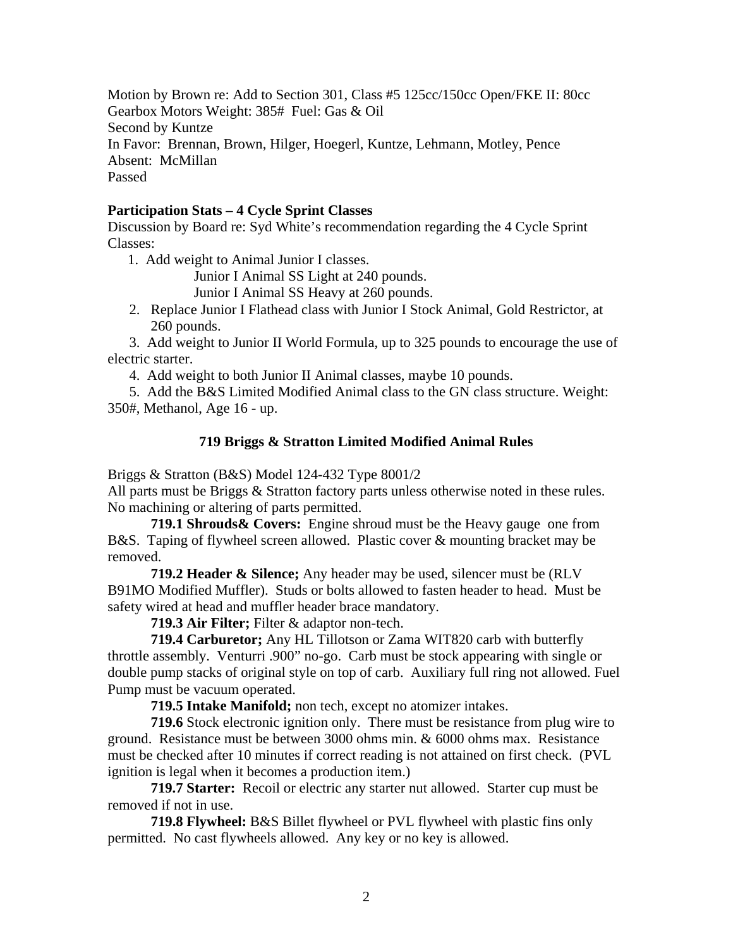Motion by Brown re: Add to Section 301, Class #5 125cc/150cc Open/FKE II: 80cc Gearbox Motors Weight: 385# Fuel: Gas & Oil Second by Kuntze In Favor: Brennan, Brown, Hilger, Hoegerl, Kuntze, Lehmann, Motley, Pence Absent: McMillan Passed

#### **Participation Stats – 4 Cycle Sprint Classes**

Discussion by Board re: Syd White's recommendation regarding the 4 Cycle Sprint Classes:

1. Add weight to Animal Junior I classes.

Junior I Animal SS Light at 240 pounds.

Junior I Animal SS Heavy at 260 pounds.

2. Replace Junior I Flathead class with Junior I Stock Animal, Gold Restrictor, at 260 pounds.

3. Add weight to Junior II World Formula, up to 325 pounds to encourage the use of electric starter.

4. Add weight to both Junior II Animal classes, maybe 10 pounds.

5. Add the B&S Limited Modified Animal class to the GN class structure. Weight: 350#, Methanol, Age 16 - up.

### **719 Briggs & Stratton Limited Modified Animal Rules**

Briggs & Stratton (B&S) Model 124-432 Type 8001/2

All parts must be Briggs & Stratton factory parts unless otherwise noted in these rules. No machining or altering of parts permitted.

**719.1 Shrouds& Covers:** Engine shroud must be the Heavy gauge one from B&S. Taping of flywheel screen allowed. Plastic cover & mounting bracket may be removed.

**719.2 Header & Silence;** Any header may be used, silencer must be (RLV B91MO Modified Muffler). Studs or bolts allowed to fasten header to head. Must be safety wired at head and muffler header brace mandatory.

**719.3 Air Filter;** Filter & adaptor non-tech.

**719.4 Carburetor;** Any HL Tillotson or Zama WIT820 carb with butterfly throttle assembly. Venturri .900" no-go. Carb must be stock appearing with single or double pump stacks of original style on top of carb. Auxiliary full ring not allowed. Fuel Pump must be vacuum operated.

**719.5 Intake Manifold;** non tech, except no atomizer intakes.

**719.6** Stock electronic ignition only. There must be resistance from plug wire to ground. Resistance must be between 3000 ohms min. & 6000 ohms max. Resistance must be checked after 10 minutes if correct reading is not attained on first check. (PVL ignition is legal when it becomes a production item.)

**719.7 Starter:** Recoil or electric any starter nut allowed. Starter cup must be removed if not in use.

**719.8 Flywheel:** B&S Billet flywheel or PVL flywheel with plastic fins only permitted. No cast flywheels allowed. Any key or no key is allowed.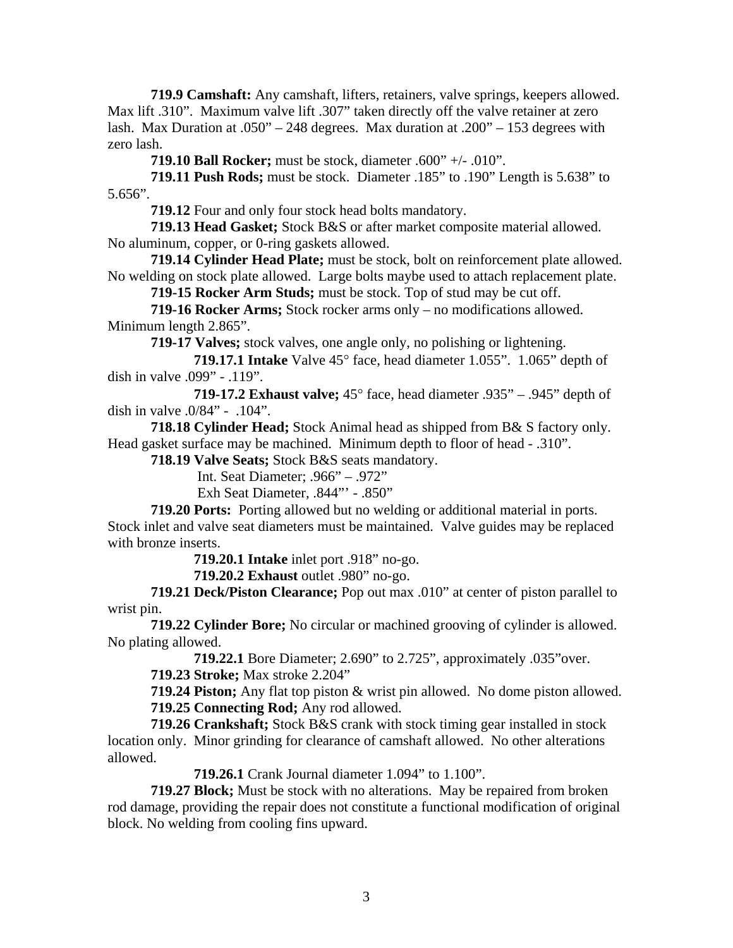**719.9 Camshaft:** Any camshaft, lifters, retainers, valve springs, keepers allowed. Max lift .310". Maximum valve lift .307" taken directly off the valve retainer at zero lash. Max Duration at .050" – 248 degrees. Max duration at .200" – 153 degrees with zero lash.

**719.10 Ball Rocker;** must be stock, diameter .600" +/- .010".

**719.11 Push Rods;** must be stock. Diameter .185" to .190" Length is 5.638" to 5.656".

**719.12** Four and only four stock head bolts mandatory.

**719.13 Head Gasket;** Stock B&S or after market composite material allowed. No aluminum, copper, or 0-ring gaskets allowed.

**719.14 Cylinder Head Plate;** must be stock, bolt on reinforcement plate allowed. No welding on stock plate allowed. Large bolts maybe used to attach replacement plate.

**719-15 Rocker Arm Studs;** must be stock. Top of stud may be cut off.

**719-16 Rocker Arms;** Stock rocker arms only – no modifications allowed. Minimum length 2.865".

**719-17 Valves;** stock valves, one angle only, no polishing or lightening.

 **719.17.1 Intake** Valve 45° face, head diameter 1.055". 1.065" depth of dish in valve .099" - .119".

 **719-17.2 Exhaust valve;** 45° face, head diameter .935" – .945" depth of dish in valve .0/84" - .104".

**718.18 Cylinder Head;** Stock Animal head as shipped from B& S factory only. Head gasket surface may be machined. Minimum depth to floor of head - .310".

**718.19 Valve Seats;** Stock B&S seats mandatory.

Int. Seat Diameter; .966" – .972"

Exh Seat Diameter, .844"' - .850"

**719.20 Ports:** Porting allowed but no welding or additional material in ports. Stock inlet and valve seat diameters must be maintained. Valve guides may be replaced with bronze inserts.

**719.20.1 Intake** inlet port .918" no-go.

**719.20.2 Exhaust** outlet .980" no-go.

**719.21 Deck/Piston Clearance;** Pop out max .010" at center of piston parallel to wrist pin.

**719.22 Cylinder Bore;** No circular or machined grooving of cylinder is allowed. No plating allowed.

**719.22.1** Bore Diameter; 2.690" to 2.725", approximately .035"over.

**719.23 Stroke;** Max stroke 2.204"

**719.24 Piston;** Any flat top piston & wrist pin allowed. No dome piston allowed. **719.25 Connecting Rod;** Any rod allowed.

**719.26 Crankshaft;** Stock B&S crank with stock timing gear installed in stock location only. Minor grinding for clearance of camshaft allowed. No other alterations allowed.

**719.26.1** Crank Journal diameter 1.094" to 1.100".

**719.27 Block;** Must be stock with no alterations. May be repaired from broken rod damage, providing the repair does not constitute a functional modification of original block. No welding from cooling fins upward.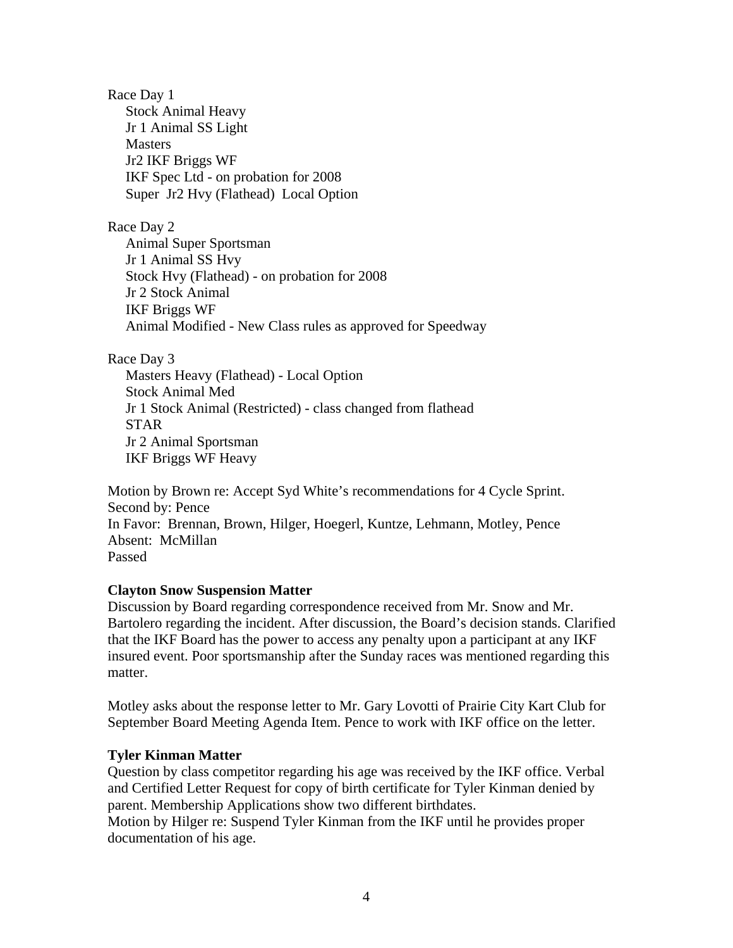Race Day 1 Stock Animal Heavy Jr 1 Animal SS Light Masters Jr2 IKF Briggs WF IKF Spec Ltd - on probation for 2008 Super Jr2 Hvy (Flathead) Local Option

Race Day 2 Animal Super Sportsman Jr 1 Animal SS Hvy Stock Hvy (Flathead) - on probation for 2008 Jr 2 Stock Animal IKF Briggs WF Animal Modified - New Class rules as approved for Speedway

Race Day 3

 Masters Heavy (Flathead) - Local Option Stock Animal Med Jr 1 Stock Animal (Restricted) - class changed from flathead STAR Jr 2 Animal Sportsman IKF Briggs WF Heavy

Motion by Brown re: Accept Syd White's recommendations for 4 Cycle Sprint. Second by: Pence In Favor: Brennan, Brown, Hilger, Hoegerl, Kuntze, Lehmann, Motley, Pence Absent: McMillan Passed

### **Clayton Snow Suspension Matter**

Discussion by Board regarding correspondence received from Mr. Snow and Mr. Bartolero regarding the incident. After discussion, the Board's decision stands. Clarified that the IKF Board has the power to access any penalty upon a participant at any IKF insured event. Poor sportsmanship after the Sunday races was mentioned regarding this matter.

Motley asks about the response letter to Mr. Gary Lovotti of Prairie City Kart Club for September Board Meeting Agenda Item. Pence to work with IKF office on the letter.

### **Tyler Kinman Matter**

Question by class competitor regarding his age was received by the IKF office. Verbal and Certified Letter Request for copy of birth certificate for Tyler Kinman denied by parent. Membership Applications show two different birthdates. Motion by Hilger re: Suspend Tyler Kinman from the IKF until he provides proper documentation of his age.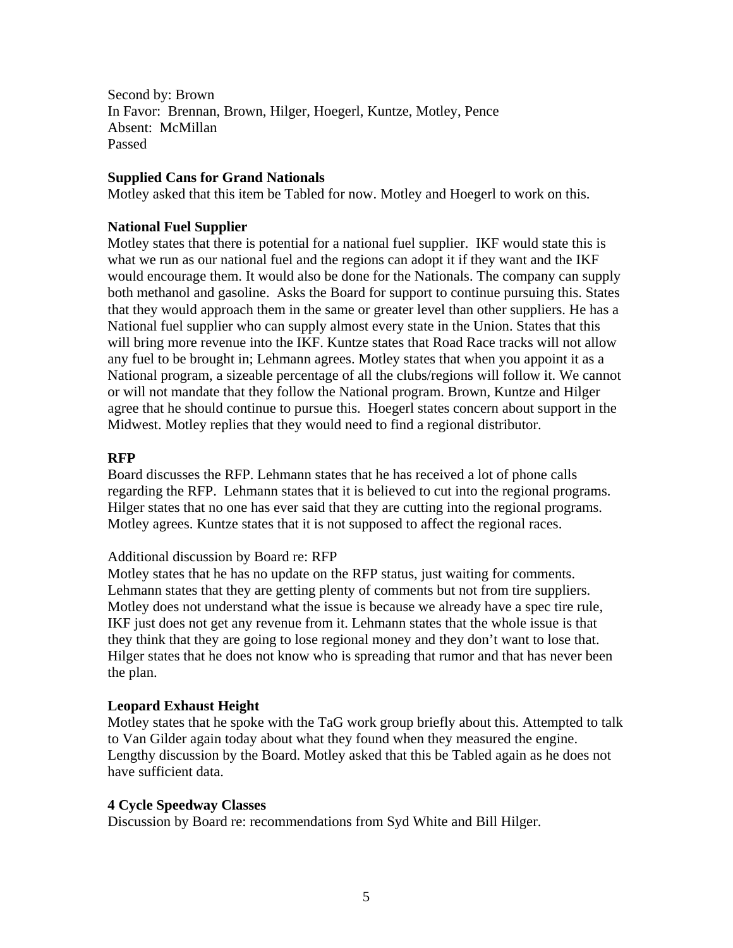Second by: Brown In Favor: Brennan, Brown, Hilger, Hoegerl, Kuntze, Motley, Pence Absent: McMillan Passed

#### **Supplied Cans for Grand Nationals**

Motley asked that this item be Tabled for now. Motley and Hoegerl to work on this.

#### **National Fuel Supplier**

Motley states that there is potential for a national fuel supplier. IKF would state this is what we run as our national fuel and the regions can adopt it if they want and the IKF would encourage them. It would also be done for the Nationals. The company can supply both methanol and gasoline. Asks the Board for support to continue pursuing this. States that they would approach them in the same or greater level than other suppliers. He has a National fuel supplier who can supply almost every state in the Union. States that this will bring more revenue into the IKF. Kuntze states that Road Race tracks will not allow any fuel to be brought in; Lehmann agrees. Motley states that when you appoint it as a National program, a sizeable percentage of all the clubs/regions will follow it. We cannot or will not mandate that they follow the National program. Brown, Kuntze and Hilger agree that he should continue to pursue this. Hoegerl states concern about support in the Midwest. Motley replies that they would need to find a regional distributor.

#### **RFP**

Board discusses the RFP. Lehmann states that he has received a lot of phone calls regarding the RFP. Lehmann states that it is believed to cut into the regional programs. Hilger states that no one has ever said that they are cutting into the regional programs. Motley agrees. Kuntze states that it is not supposed to affect the regional races.

#### Additional discussion by Board re: RFP

Motley states that he has no update on the RFP status, just waiting for comments. Lehmann states that they are getting plenty of comments but not from tire suppliers. Motley does not understand what the issue is because we already have a spec tire rule, IKF just does not get any revenue from it. Lehmann states that the whole issue is that they think that they are going to lose regional money and they don't want to lose that. Hilger states that he does not know who is spreading that rumor and that has never been the plan.

#### **Leopard Exhaust Height**

Motley states that he spoke with the TaG work group briefly about this. Attempted to talk to Van Gilder again today about what they found when they measured the engine. Lengthy discussion by the Board. Motley asked that this be Tabled again as he does not have sufficient data.

#### **4 Cycle Speedway Classes**

Discussion by Board re: recommendations from Syd White and Bill Hilger.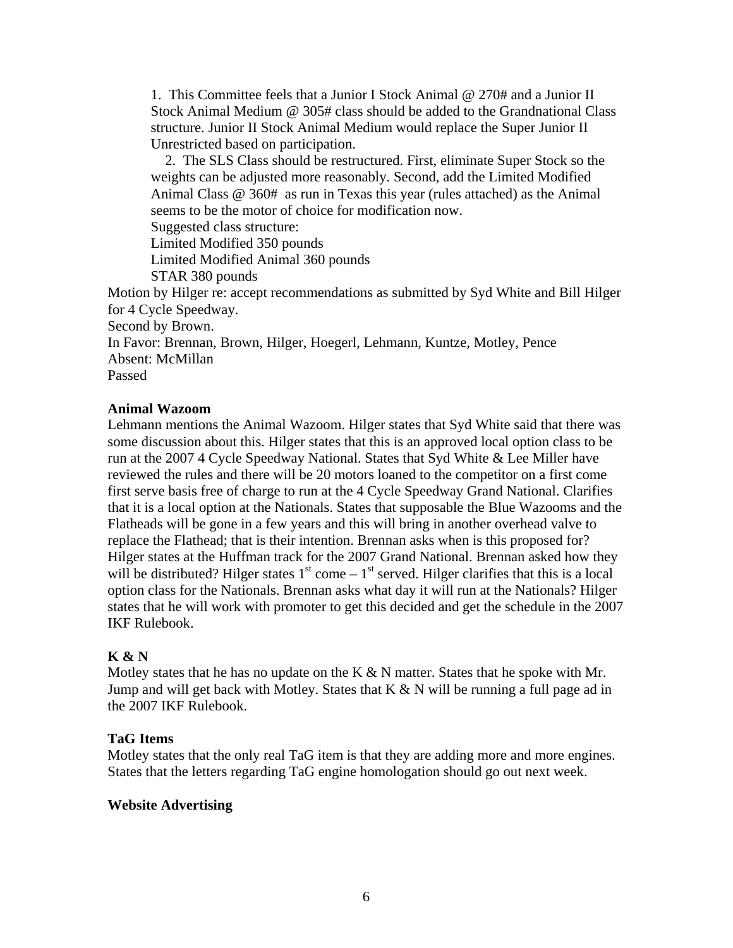1. This Committee feels that a Junior I Stock Animal @ 270# and a Junior II Stock Animal Medium @ 305# class should be added to the Grandnational Class structure. Junior II Stock Animal Medium would replace the Super Junior II Unrestricted based on participation.

 2. The SLS Class should be restructured. First, eliminate Super Stock so the weights can be adjusted more reasonably. Second, add the Limited Modified Animal Class @ 360# as run in Texas this year (rules attached) as the Animal seems to be the motor of choice for modification now.

Suggested class structure:

Limited Modified 350 pounds

Limited Modified Animal 360 pounds

STAR 380 pounds

Motion by Hilger re: accept recommendations as submitted by Syd White and Bill Hilger for 4 Cycle Speedway.

Second by Brown.

In Favor: Brennan, Brown, Hilger, Hoegerl, Lehmann, Kuntze, Motley, Pence Absent: McMillan

Passed

### **Animal Wazoom**

Lehmann mentions the Animal Wazoom. Hilger states that Syd White said that there was some discussion about this. Hilger states that this is an approved local option class to be run at the 2007 4 Cycle Speedway National. States that Syd White & Lee Miller have reviewed the rules and there will be 20 motors loaned to the competitor on a first come first serve basis free of charge to run at the 4 Cycle Speedway Grand National. Clarifies that it is a local option at the Nationals. States that supposable the Blue Wazooms and the Flatheads will be gone in a few years and this will bring in another overhead valve to replace the Flathead; that is their intention. Brennan asks when is this proposed for? Hilger states at the Huffman track for the 2007 Grand National. Brennan asked how they will be distributed? Hilger states  $1<sup>st</sup>$  come  $-1<sup>st</sup>$  served. Hilger clarifies that this is a local option class for the Nationals. Brennan asks what day it will run at the Nationals? Hilger states that he will work with promoter to get this decided and get the schedule in the 2007 IKF Rulebook.

### **K & N**

Motley states that he has no update on the K  $\&$  N matter. States that he spoke with Mr. Jump and will get back with Motley. States that  $K & N$  will be running a full page ad in the 2007 IKF Rulebook.

### **TaG Items**

Motley states that the only real TaG item is that they are adding more and more engines. States that the letters regarding TaG engine homologation should go out next week.

### **Website Advertising**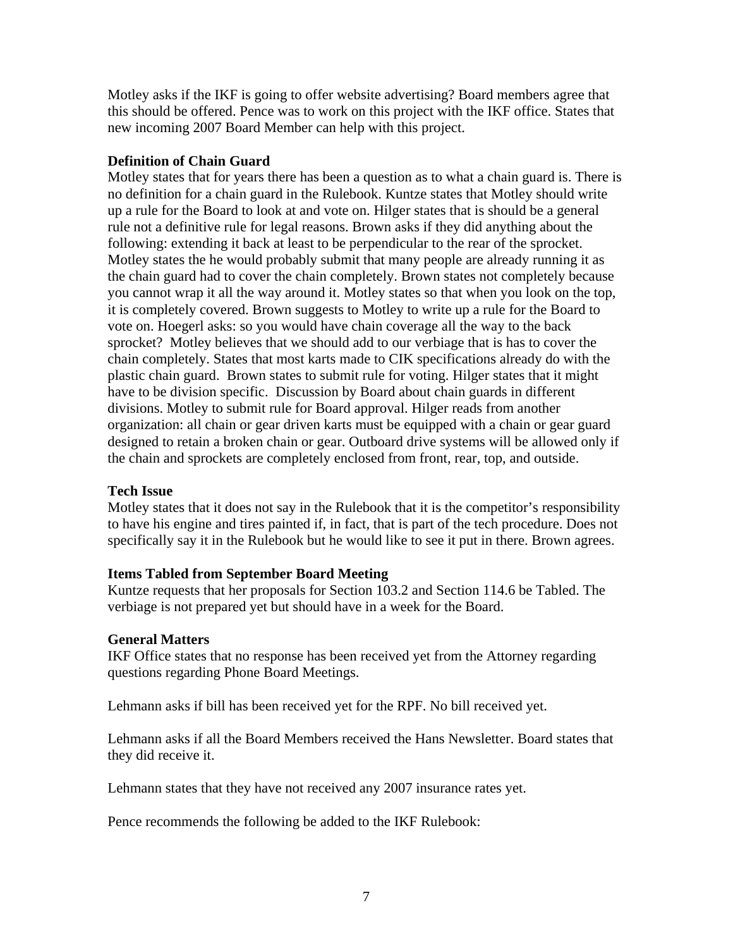Motley asks if the IKF is going to offer website advertising? Board members agree that this should be offered. Pence was to work on this project with the IKF office. States that new incoming 2007 Board Member can help with this project.

# **Definition of Chain Guard**

Motley states that for years there has been a question as to what a chain guard is. There is no definition for a chain guard in the Rulebook. Kuntze states that Motley should write up a rule for the Board to look at and vote on. Hilger states that is should be a general rule not a definitive rule for legal reasons. Brown asks if they did anything about the following: extending it back at least to be perpendicular to the rear of the sprocket. Motley states the he would probably submit that many people are already running it as the chain guard had to cover the chain completely. Brown states not completely because you cannot wrap it all the way around it. Motley states so that when you look on the top, it is completely covered. Brown suggests to Motley to write up a rule for the Board to vote on. Hoegerl asks: so you would have chain coverage all the way to the back sprocket? Motley believes that we should add to our verbiage that is has to cover the chain completely. States that most karts made to CIK specifications already do with the plastic chain guard. Brown states to submit rule for voting. Hilger states that it might have to be division specific. Discussion by Board about chain guards in different divisions. Motley to submit rule for Board approval. Hilger reads from another organization: all chain or gear driven karts must be equipped with a chain or gear guard designed to retain a broken chain or gear. Outboard drive systems will be allowed only if the chain and sprockets are completely enclosed from front, rear, top, and outside.

# **Tech Issue**

Motley states that it does not say in the Rulebook that it is the competitor's responsibility to have his engine and tires painted if, in fact, that is part of the tech procedure. Does not specifically say it in the Rulebook but he would like to see it put in there. Brown agrees.

# **Items Tabled from September Board Meeting**

Kuntze requests that her proposals for Section 103.2 and Section 114.6 be Tabled. The verbiage is not prepared yet but should have in a week for the Board.

# **General Matters**

IKF Office states that no response has been received yet from the Attorney regarding questions regarding Phone Board Meetings.

Lehmann asks if bill has been received yet for the RPF. No bill received yet.

Lehmann asks if all the Board Members received the Hans Newsletter. Board states that they did receive it.

Lehmann states that they have not received any 2007 insurance rates yet.

Pence recommends the following be added to the IKF Rulebook: